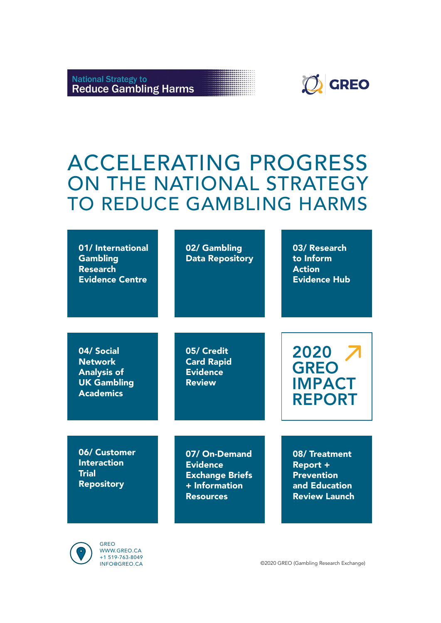



# ACCELERATING PROGRESS ON THE NATIONAL STRATEGY TO REDUCE GAMBLING HARMS

| 01/ International<br><b>Gambling</b><br><b>Research</b><br><b>Evidence Centre</b>            | 02/ Gambling<br><b>Data Repository</b>                                                            | 03/ Research<br>to Inform<br><b>Action</b><br><b>Evidence Hub</b>                             |
|----------------------------------------------------------------------------------------------|---------------------------------------------------------------------------------------------------|-----------------------------------------------------------------------------------------------|
| 04/ Social<br><b>Network</b><br><b>Analysis of</b><br><b>UK Gambling</b><br><b>Academics</b> | 05/ Credit<br><b>Card Rapid</b><br><b>Evidence</b><br><b>Review</b>                               | 2020<br><b>GREO</b><br><b>IMPACT</b><br><b>REPORT</b>                                         |
| 06/ Customer<br><b>Interaction</b><br><b>Trial</b><br><b>Repository</b>                      | 07/ On-Demand<br><b>Evidence</b><br><b>Exchange Briefs</b><br>$+$ Information<br><b>Resources</b> | 08/Treatment<br><b>Report +</b><br><b>Prevention</b><br>and Education<br><b>Review Launch</b> |



GREO WWW.GREO.CA +1 519-763-8049

©2020 GREO (Gambling Research Exchange)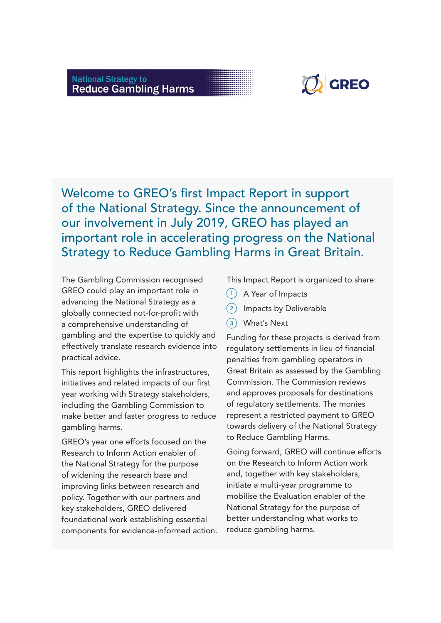# **National Strategy to<br>Reduce Gambling Harms**



Welcome to GREO's first Impact Report in support of the National Strategy. Since the announcement of our involvement in July 2019, GREO has played an important role in accelerating progress on the National Strategy to Reduce Gambling Harms in Great Britain.

The Gambling Commission recognised GREO could play an important role in advancing the National Strategy as a globally connected not-for-profit with a comprehensive understanding of gambling and the expertise to quickly and effectively translate research evidence into practical advice.

This report highlights the infrastructures, initiatives and related impacts of our first year working with Strategy stakeholders, including the Gambling Commission to make better and faster progress to reduce gambling harms.

GREO's year one efforts focused on the Research to Inform Action enabler of the National Strategy for the purpose of widening the research base and improving links between research and policy. Together with our partners and key stakeholders, GREO delivered foundational work establishing essential components for evidence-informed action. This Impact Report is organized to share:

- 1) A Year of Impacts
- 2) Impacts by Deliverable
- What's Next 3

Funding for these projects is derived from regulatory settlements in lieu of financial penalties from gambling operators in Great Britain as assessed by the Gambling Commission. The Commission reviews and approves proposals for destinations of regulatory settlements. The monies represent a restricted payment to GREO towards delivery of the National Strategy to Reduce Gambling Harms.

Going forward, GREO will continue efforts on the Research to Inform Action work and, together with key stakeholders, initiate a multi-year programme to mobilise the Evaluation enabler of the National Strategy for the purpose of better understanding what works to reduce gambling harms.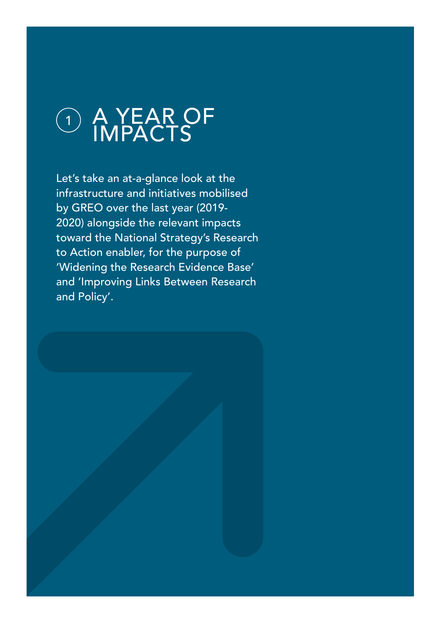

Let's take an at-a-glance look at the infrastructure and initiatives mobilised by GREO over the last year (2019- 2020) alongside the relevant impacts toward the National Strategy's Research to Action enabler, for the purpose of 'Widening the Research Evidence Base' and 'Improving Links Between Research and Policy'.

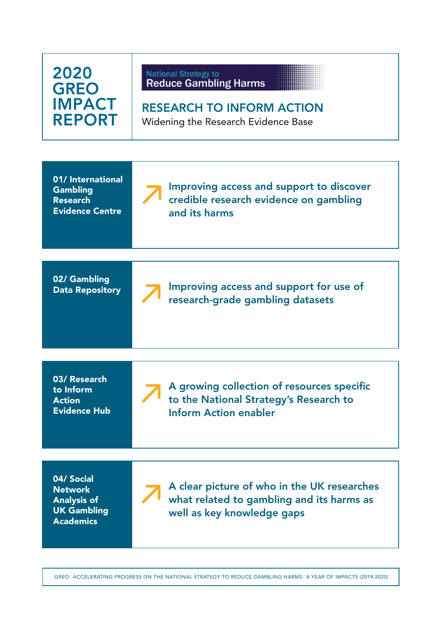| 2020<br><b>GREO</b><br><b>IMPACT</b><br><b>REPORT</b>                                        | <b>National Strategy to</b><br><b>Reduce Gambling Harms</b><br><b>RESEARCH TO INFORM ACTION</b><br><b>Widening the Research Evidence Base</b> |
|----------------------------------------------------------------------------------------------|-----------------------------------------------------------------------------------------------------------------------------------------------|
| 01/ International<br><b>Gambling</b><br><b>Research</b><br><b>Evidence Centre</b>            | Improving access and support to discover<br>credible research evidence on gambling<br>and its harms                                           |
| 02/ Gambling<br><b>Data Repository</b>                                                       | Improving access and support for use of<br>research-grade gambling datasets                                                                   |
| 03/ Research<br>to Inform<br><b>Action</b><br><b>Evidence Hub</b>                            | A growing collection of resources specific<br>to the National Strategy's Research to<br><b>Inform Action enabler</b>                          |
| 04/ Social<br><b>Network</b><br><b>Analysis of</b><br><b>UK Gambling</b><br><b>Academics</b> | A clear picture of who in the UK researches<br>what related to gambling and its harms as<br>well as key knowledge gaps                        |

GREO/ ACCELERATING PROGRESS ON THE NATIONAL STRATEGY TO REDUCE GAMBLING HARMS/ A YEAR OF IMPACTS (2019-2020)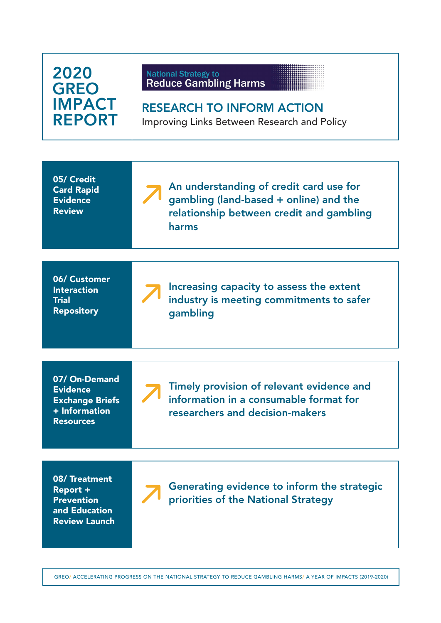| 2020<br><b>GREO</b><br><b>IMPACT</b><br><b>REPORT</b>                                           | <b>National Strategy to</b><br><b>Reduce Gambling Harms</b><br><b>RESEARCH TO INFORM ACTION</b><br>Improving Links Between Research and Policy |
|-------------------------------------------------------------------------------------------------|------------------------------------------------------------------------------------------------------------------------------------------------|
| 05/ Credit<br><b>Card Rapid</b><br><b>Evidence</b><br><b>Review</b>                             | An understanding of credit card use for<br>gambling (land-based + online) and the<br>relationship between credit and gambling<br>harms         |
| 06/ Customer<br><b>Interaction</b><br><b>Trial</b><br><b>Repository</b>                         | Increasing capacity to assess the extent<br>industry is meeting commitments to safer<br>gambling                                               |
| 07/ On-Demand<br><b>Evidence</b><br><b>Exchange Briefs</b><br>+ Information<br><b>Resources</b> | Timely provision of relevant evidence and<br>information in a consumable format for<br>researchers and decision-makers                         |
| 08/Treatment<br>Report +<br><b>Prevention</b><br>and Education<br><b>Review Launch</b>          | Generating evidence to inform the strategic<br>priorities of the National Strategy                                                             |

GREO/ ACCELERATING PROGRESS ON THE NATIONAL STRATEGY TO REDUCE GAMBLING HARMS/ A YEAR OF IMPACTS (2019-2020)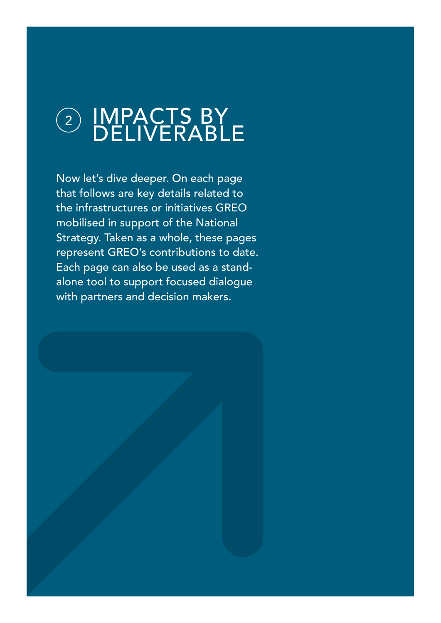# 2) IMPACTS BY DELIVERABLE

Now let's dive deeper. On each page that follows are key details related to the infrastructures or initiatives GREO mobilised in support of the National Strategy. Taken as a whole, these pages represent GREO's contributions to date. Each page can also be used as a standalone tool to support focused dialogue with partners and decision makers.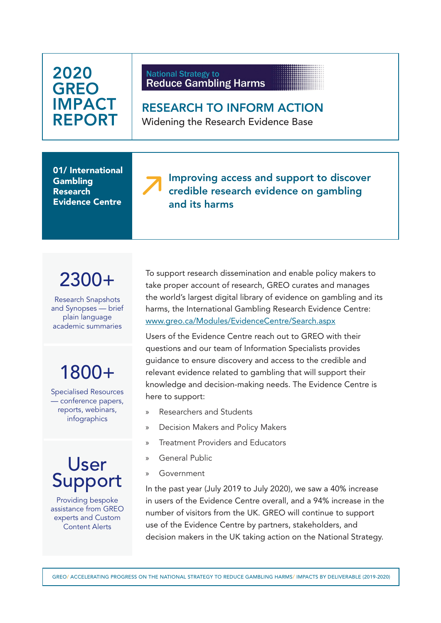#### **National Strategy to Reduce Gambling Harms**

RESEARCH TO INFORM ACTION Widening the Research Evidence Base

01/ International **Gambling** Research Evidence Centre

#### Improving access and support to discover credible research evidence on gambling and its harms

# 2300+

Research Snapshots and Synopses — brief plain language academic summaries

# 1800+

Specialised Resources — conference papers, reports, webinars, infographics

# User Support

Providing bespoke assistance from GREO experts and Custom Content Alerts

To support research dissemination and enable policy makers to take proper account of research, GREO curates and manages the world's largest digital library of evidence on gambling and its harms, the International Gambling Research Evidence Centre: [www.greo.ca/Modules/EvidenceCentre/Search.aspx](https://www.greo.ca/Modules/EvidenceCentre/Search.aspx)

Users of the Evidence Centre reach out to GREO with their questions and our team of Information Specialists provides guidance to ensure discovery and access to the credible and relevant evidence related to gambling that will support their knowledge and decision-making needs. The Evidence Centre is here to support:

- » Researchers and Students
- » Decision Makers and Policy Makers
- » Treatment Providers and Educators
- » General Public
- » Government

In the past year (July 2019 to July 2020), we saw a 40% increase in users of the Evidence Centre overall, and a 94% increase in the number of visitors from the UK. GREO will continue to support use of the Evidence Centre by partners, stakeholders, and decision makers in the UK taking action on the National Strategy.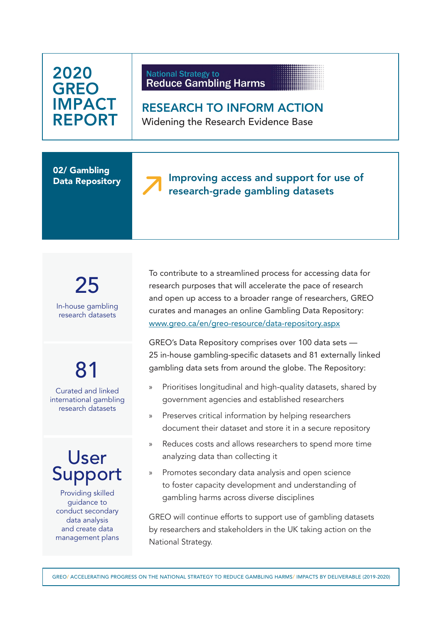#### **National Strategy to Reduce Gambling Harms**

RESEARCH TO INFORM ACTION Widening the Research Evidence Base

02/ Gambling Data Repository



25 In-house gambling research datasets

# 81

Curated and linked international gambling research datasets

# User Support

Providing skilled guidance to conduct secondary data analysis and create data management plans To contribute to a streamlined process for accessing data for research purposes that will accelerate the pace of research and open up access to a broader range of researchers, GREO curates and manages an online Gambling Data Repository: [www.greo.ca/en/greo-resource/data-repository.aspx](http://www.greo.ca/en/greo-resource/data-repository.aspx)

GREO's Data Repository comprises over 100 data sets — 25 in-house gambling-specific datasets and 81 externally linked gambling data sets from around the globe. The Repository:

- » Prioritises longitudinal and high-quality datasets, shared by government agencies and established researchers
- » Preserves critical information by helping researchers document their dataset and store it in a secure repository
- Reduces costs and allows researchers to spend more time analyzing data than collecting it
- Promotes secondary data analysis and open science to foster capacity development and understanding of gambling harms across diverse disciplines

GREO will continue efforts to support use of gambling datasets by researchers and stakeholders in the UK taking action on the National Strategy.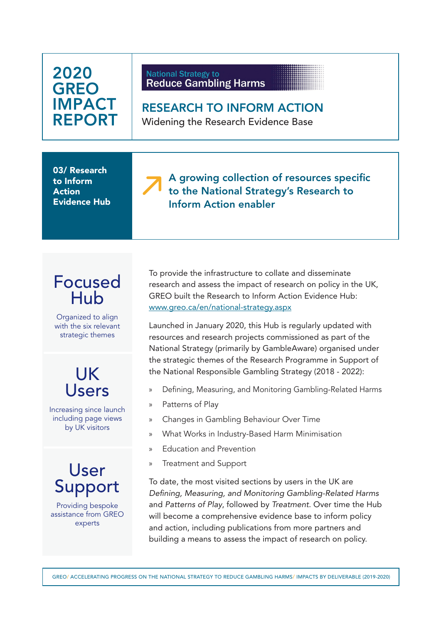| 2020<br><b>GREO</b><br><b>IMPACT</b><br><b>REPORT</b>                                    | <b>National Strategy to</b><br><b>Reduce Gambling Harms</b><br><b>RESEARCH TO INFORM ACTION</b><br><b>Widening the Research Evidence Base</b>                                                                                                                                                                                                                                                                                                                                                                                                                                                                                                                                                                                                                                                              |
|------------------------------------------------------------------------------------------|------------------------------------------------------------------------------------------------------------------------------------------------------------------------------------------------------------------------------------------------------------------------------------------------------------------------------------------------------------------------------------------------------------------------------------------------------------------------------------------------------------------------------------------------------------------------------------------------------------------------------------------------------------------------------------------------------------------------------------------------------------------------------------------------------------|
| 03/ Research<br>to Inform<br><b>Action</b><br><b>Evidence Hub</b>                        | A growing collection of resources specific<br>to the National Strategy's Research to<br><b>Inform Action enabler</b>                                                                                                                                                                                                                                                                                                                                                                                                                                                                                                                                                                                                                                                                                       |
| <b>Focused</b><br>Hub<br>Organized to align<br>with the six relevant<br>strategic themes | To provide the infrastructure to collate and disseminate<br>research and assess the impact of research on policy in the UK,<br>GREO built the Research to Inform Action Evidence Hub:<br>www.greo.ca/en/national-strategy.aspx<br>Launched in January 2020, this Hub is regularly updated with<br>resources and research projects commissioned as part of the<br>National Strategy (primarily by GambleAware) organised under<br>the strategic themes of the Research Programme in Support of<br>the National Responsible Gambling Strategy (2018 - 2022):<br>Defining, Measuring, and Monitoring Gambling-Related Harms<br>$\rangle$<br>Patterns of Play<br>$\rangle$<br>Changes in Gambling Behaviour Over Time<br>$\rangle\!\rangle$<br>What Works in Industry-Based Harm Minimisation<br>$\mathcal{Y}$ |
| Users<br>Increasing since launch<br>including page views<br>by UK visitors               |                                                                                                                                                                                                                                                                                                                                                                                                                                                                                                                                                                                                                                                                                                                                                                                                            |
| User<br>Support<br>Providing bespoke<br>assistance from GREO<br>experts                  | <b>Education and Prevention</b><br>$\rangle$<br><b>Treatment and Support</b><br>$\rangle$<br>To date, the most visited sections by users in the UK are<br>Defining, Measuring, and Monitoring Gambling-Related Harms<br>and Patterns of Play, followed by Treatment. Over time the Hub<br>will become a comprehensive evidence base to inform policy<br>and action, including publications from more partners and<br>building a means to assess the impact of research on policy.                                                                                                                                                                                                                                                                                                                          |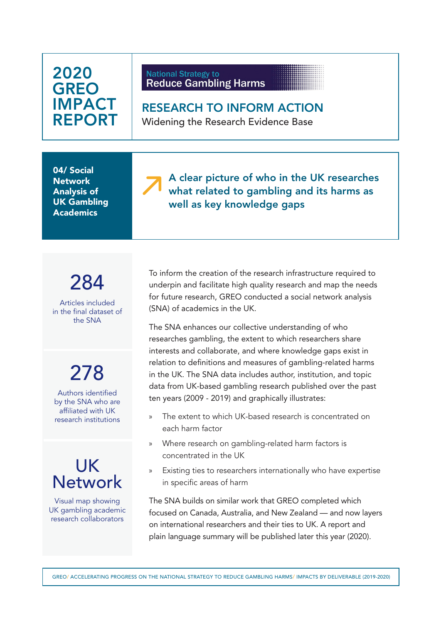| 2020<br><b>GREO</b><br><b>IMPACT</b><br><b>REPORT</b>                                          | <b>National Strategy to</b><br><b>Reduce Gambling Harms</b><br><b>RESEARCH TO INFORM ACTION</b><br>Widening the Research Evidence Base                                                                                                                                                                                                                                                                                                                        |
|------------------------------------------------------------------------------------------------|---------------------------------------------------------------------------------------------------------------------------------------------------------------------------------------------------------------------------------------------------------------------------------------------------------------------------------------------------------------------------------------------------------------------------------------------------------------|
| 04/ Social<br><b>Network</b><br><b>Analysis of</b><br><b>UK Gambling</b><br><b>Academics</b>   | A clear picture of who in the UK researches<br>what related to gambling and its harms as<br>well as key knowledge gaps                                                                                                                                                                                                                                                                                                                                        |
| 284<br>Articles included<br>in the final dataset of<br>the SNA                                 | To inform the creation of the research infrastructure required to<br>underpin and facilitate high quality research and map the needs<br>for future research, GREO conducted a social network analysis<br>(SNA) of academics in the UK.<br>The SNA enhances our collective understanding of who<br>researches gambling, the extent to which researchers share                                                                                                  |
| 278<br>Authors identified<br>by the SNA who are<br>affiliated with UK<br>research institutions | interests and collaborate, and where knowledge gaps exist in<br>relation to definitions and measures of gambling-related harms<br>in the UK. The SNA data includes author, institution, and topic<br>data from UK-based gambling research published over the past<br>ten years (2009 - 2019) and graphically illustrates:<br>The extent to which UK-based research is concentrated on<br>y)<br>each harm factor                                               |
| UK<br><b>Network</b><br>Visual map showing<br>UK gambling academic<br>research collaborators   | Where research on gambling-related harm factors is<br>>><br>concentrated in the UK<br>Existing ties to researchers internationally who have expertise<br>>><br>in specific areas of harm<br>The SNA builds on similar work that GREO completed which<br>focused on Canada, Australia, and New Zealand — and now layers<br>on international researchers and their ties to UK. A report and<br>plain language summary will be published later this year (2020). |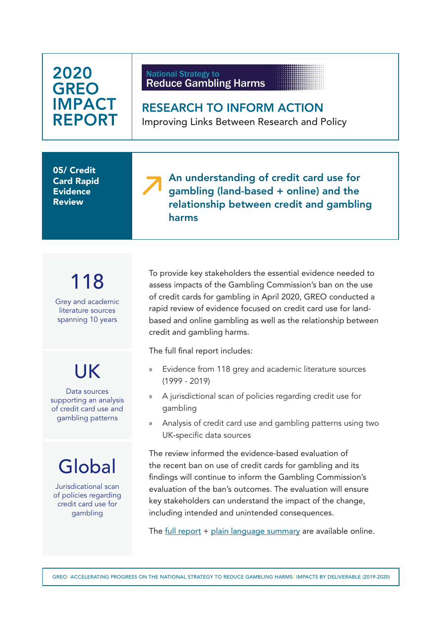| 2020<br><b>GREO</b><br><b>IMPACT</b><br><b>REPORT</b>                                       | <b>National Strategy to</b><br><b>Reduce Gambling Harms</b><br><b>RESEARCH TO INFORM ACTION</b><br>Improving Links Between Research and Policy                                                                                                                                                                                                                                                                                     |
|---------------------------------------------------------------------------------------------|------------------------------------------------------------------------------------------------------------------------------------------------------------------------------------------------------------------------------------------------------------------------------------------------------------------------------------------------------------------------------------------------------------------------------------|
| 05/ Credit<br><b>Card Rapid</b><br><b>Evidence</b><br><b>Review</b>                         | An understanding of credit card use for<br>gambling (land-based + online) and the<br>relationship between credit and gambling<br>harms                                                                                                                                                                                                                                                                                             |
| 118<br>Grey and academic<br>literature sources<br>spanning 10 years                         | To provide key stakeholders the essential evidence needed to<br>assess impacts of the Gambling Commission's ban on the use<br>of credit cards for gambling in April 2020, GREO conducted a<br>rapid review of evidence focused on credit card use for land-<br>based and online gambling as well as the relationship between<br>credit and gambling harms.                                                                         |
| UK<br>Data sources<br>supporting an analysis<br>of credit card use and<br>gambling patterns | The full final report includes:<br>Evidence from 118 grey and academic literature sources<br>$\gg$<br>$(1999 - 2019)$<br>A jurisdictional scan of policies regarding credit use for<br>$\mathcal{V}$<br>gambling<br>Analysis of credit card use and gambling patterns using two<br>$\gg$<br>UK-specific data sources                                                                                                               |
| Global<br>Jurisdicational scan<br>of policies regarding<br>credit card use for<br>gambling  | The review informed the evidence-based evaluation of<br>the recent ban on use of credit cards for gambling and its<br>findings will continue to inform the Gambling Commission's<br>evaluation of the ban's outcomes. The evaluation will ensure<br>key stakeholders can understand the impact of the change,<br>including intended and unintended consequences.<br>The full report + plain language summary are available online. |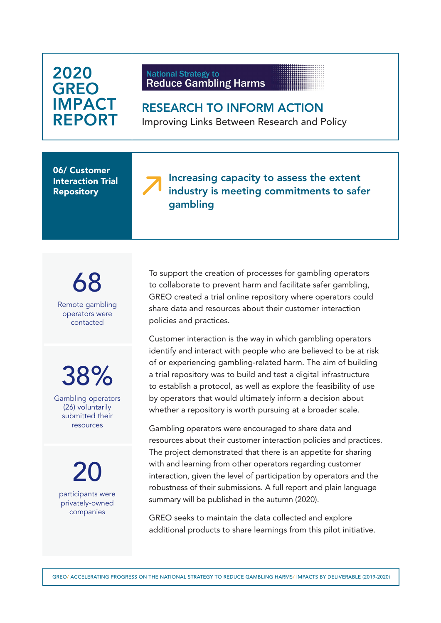#### **National Strategy to Reduce Gambling Harms**

RESEARCH TO INFORM ACTION Improving Links Between Research and Policy

06/ Customer Interaction Trial **Repository** 

#### Increasing capacity to assess the extent industry is meeting commitments to safer gambling

68 Remote gambling operators were contacted

38%

Gambling operators (26) voluntarily submitted their resources

20 participants were privately-owned companies

To support the creation of processes for gambling operators to collaborate to prevent harm and facilitate safer gambling, GREO created a trial online repository where operators could share data and resources about their customer interaction policies and practices.

Customer interaction is the way in which gambling operators identify and interact with people who are believed to be at risk of or experiencing gambling-related harm. The aim of building a trial repository was to build and test a digital infrastructure to establish a protocol, as well as explore the feasibility of use by operators that would ultimately inform a decision about whether a repository is worth pursuing at a broader scale.

Gambling operators were encouraged to share data and resources about their customer interaction policies and practices. The project demonstrated that there is an appetite for sharing with and learning from other operators regarding customer interaction, given the level of participation by operators and the robustness of their submissions. A full report and plain language summary will be published in the autumn (2020).

GREO seeks to maintain the data collected and explore additional products to share learnings from this pilot initiative.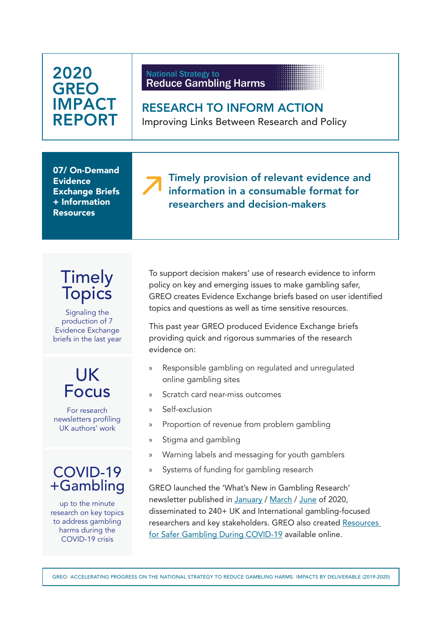#### **National Strategy to Reduce Gambling Harms**

RESEARCH TO INFORM ACTION Improving Links Between Research and Policy

07/ On-Demand **Evidence** Exchange Briefs + Information Resources

Timely provision of relevant evidence and information in a consumable format for researchers and decision-makers

## Timely **Topics**

Signaling the production of 7 Evidence Exchange briefs in the last year

# UK Focus

For research newsletters profiling UK authors' work

### COVID-19 +Gambling

up to the minute research on key topics to address gambling harms during the COVID-19 crisis

To support decision makers' use of research evidence to inform policy on key and emerging issues to make gambling safer, GREO creates Evidence Exchange briefs based on user identified topics and questions as well as time sensitive resources.

This past year GREO produced Evidence Exchange briefs providing quick and rigorous summaries of the research evidence on:

- » Responsible gambling on regulated and unregulated online gambling sites
- » Scratch card near-miss outcomes
- » Self-exclusion
- » Proportion of revenue from problem gambling
- » Stigma and gambling
- » Warning labels and messaging for youth gamblers
- » Systems of funding for gambling research

GREO launched the 'What's New in Gambling Research' newsletter published in [January](https://conta.cc/30VMAtU) / [March](https://conta.cc/3cw9GMn) / [June](https://conta.cc/3eBPLNE) of 2020, disseminated to 240+ UK and International gambling-focused researchers and key stakeholders. GREO also created [Resources](https://www.greo.ca/en/greo-resource/covid-19-resources.aspx)  [for Safer Gambling During COVID-19](https://www.greo.ca/en/greo-resource/covid-19-resources.aspx) available online.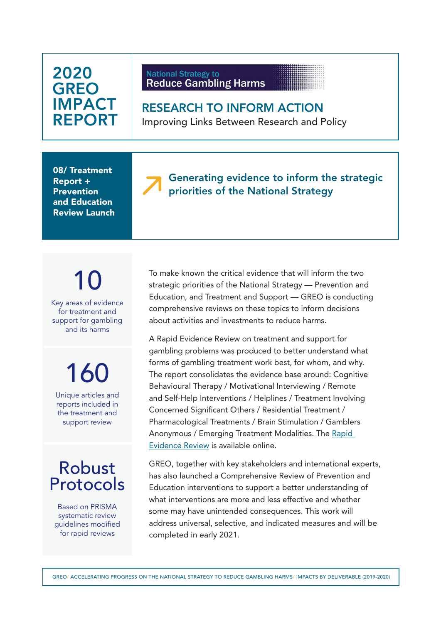#### **National Strategy to Reduce Gambling Harms**

RESEARCH TO INFORM ACTION Improving Links Between Research and Policy

08/ Treatment Report + Prevention and Education Review Launch

### Generating evidence to inform the strategic priorities of the National Strategy

# 10

Key areas of evidence for treatment and support for gambling and its harms

160

Unique articles and reports included in the treatment and support review

### Robust Protocols

Based on PRISMA systematic review guidelines modified for rapid reviews

To make known the critical evidence that will inform the two strategic priorities of the National Strategy — Prevention and Education, and Treatment and Support — GREO is conducting comprehensive reviews on these topics to inform decisions about activities and investments to reduce harms.

A Rapid Evidence Review on treatment and support for gambling problems was produced to better understand what forms of gambling treatment work best, for whom, and why. The report consolidates the evidence base around: Cognitive Behavioural Therapy / Motivational Interviewing / Remote and Self-Help Interventions / Helplines / Treatment Involving Concerned Significant Others / Residential Treatment / Pharmacological Treatments / Brain Stimulation / Gamblers Anonymous / Emerging Treatment Modalities. The [Rapid](https://www.greo.ca/Modules/EvidenceCentre/files/GREO_05_2020_TreatmentRER_Final.pdf)  [Evidence Review](https://www.greo.ca/Modules/EvidenceCentre/files/GREO_05_2020_TreatmentRER_Final.pdf) is available online.

GREO, together with key stakeholders and international experts, has also launched a Comprehensive Review of Prevention and Education interventions to support a better understanding of what interventions are more and less effective and whether some may have unintended consequences. This work will address universal, selective, and indicated measures and will be completed in early 2021.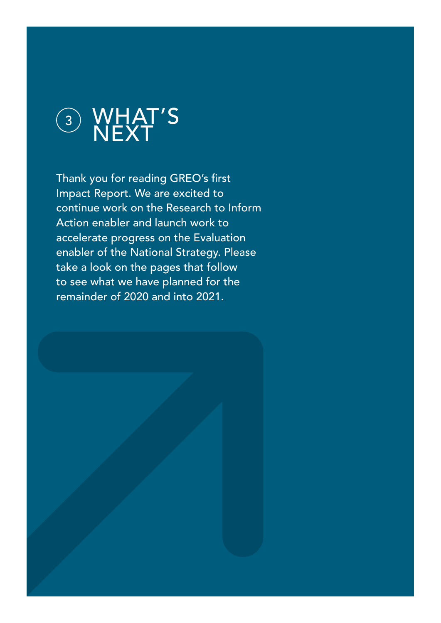

Thank you for reading GREO's first Impact Report. We are excited to continue work on the Research to Inform Action enabler and launch work to accelerate progress on the Evaluation enabler of the National Strategy. Please take a look on the pages that follow to see what we have planned for the remainder of 2020 and into 2021.

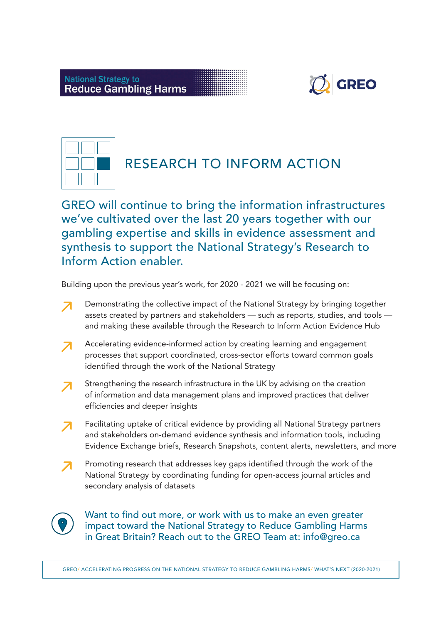



### RESEARCH TO INFORM ACTION

GREO will continue to bring the information infrastructures we've cultivated over the last 20 years together with our gambling expertise and skills in evidence assessment and synthesis to support the National Strategy's Research to Inform Action enabler.

Building upon the previous year's work, for 2020 - 2021 we will be focusing on:

- Demonstrating the collective impact of the National Strategy by bringing together assets created by partners and stakeholders — such as reports, studies, and tools and making these available through the Research to Inform Action Evidence Hub
- Accelerating evidence-informed action by creating learning and engagement 7 processes that support coordinated, cross-sector efforts toward common goals identified through the work of the National Strategy
- Strengthening the research infrastructure in the UK by advising on the creation of information and data management plans and improved practices that deliver efficiencies and deeper insights
- Facilitating uptake of critical evidence by providing all National Strategy partners and stakeholders on-demand evidence synthesis and information tools, including Evidence Exchange briefs, Research Snapshots, content alerts, newsletters, and more
- Promoting research that addresses key gaps identified through the work of the National Strategy by coordinating funding for open-access journal articles and secondary analysis of datasets



Want to find out more, or work with us to make an even greater impact toward the National Strategy to Reduce Gambling Harms in Great Britain? Reach out to the GREO Team at: info@greo.ca

GREO/ ACCELERATING PROGRESS ON THE NATIONAL STRATEGY TO REDUCE GAMBLING HARMS/ WHAT'S NEXT (2020-2021)